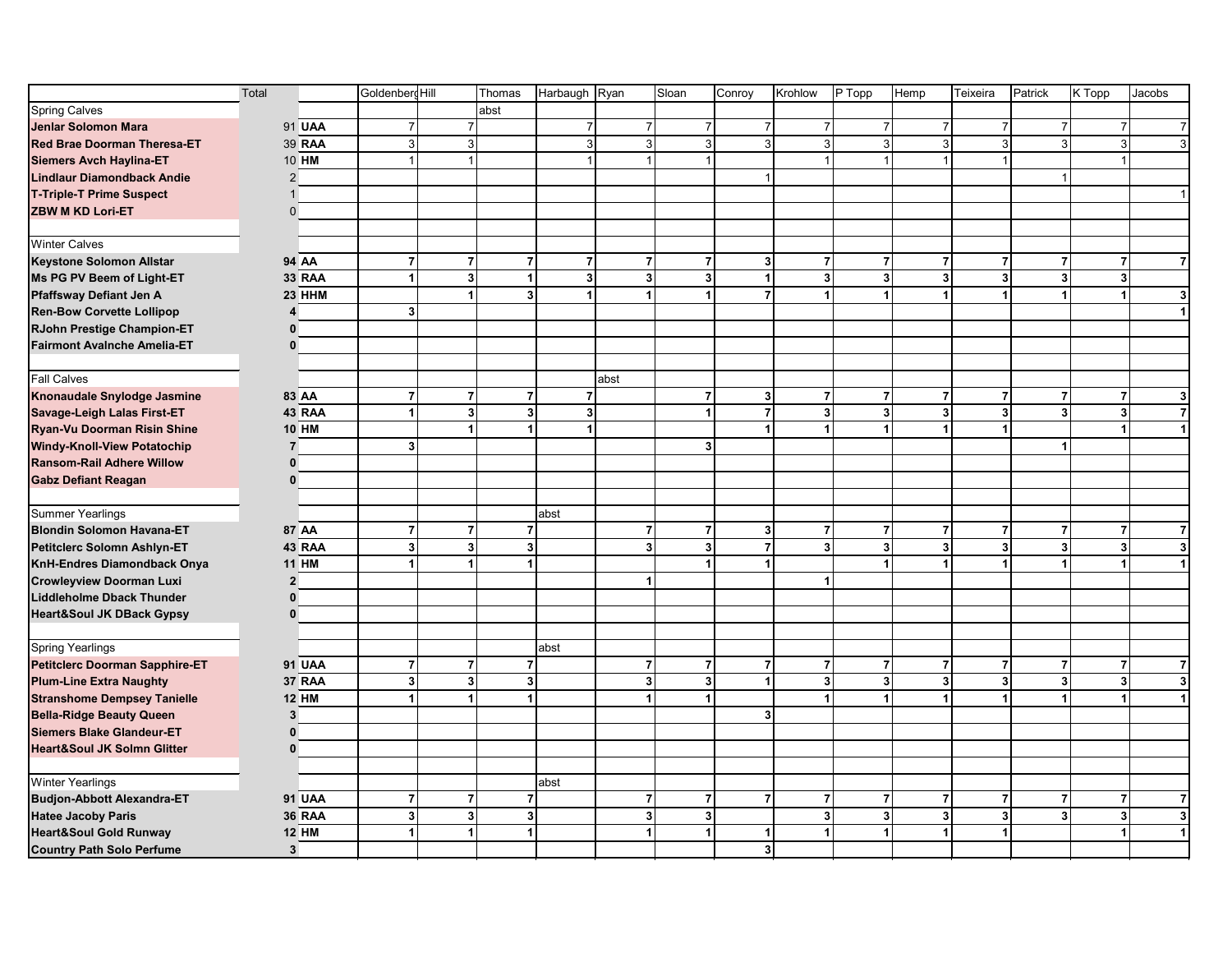|                                        | Total |                | Goldenberg Hill         |                | Thomas         | Harbaugh Ryan           |                         | Sloan                   | Conroy         | Krohlow                 | P Topp               | Hemp                    | Teixeira       | Patrick                 | K Topp         | Jacobs                                    |
|----------------------------------------|-------|----------------|-------------------------|----------------|----------------|-------------------------|-------------------------|-------------------------|----------------|-------------------------|----------------------|-------------------------|----------------|-------------------------|----------------|-------------------------------------------|
| <b>Spring Calves</b>                   |       |                |                         |                | abst           |                         |                         |                         |                |                         |                      |                         |                |                         |                |                                           |
| <b>Jenlar Solomon Mara</b>             |       | 91 UAA         | $\overline{7}$          | $\overline{7}$ |                | $\overline{7}$          | $\overline{7}$          | $\overline{7}$          | $\overline{7}$ | $\overline{7}$          | $\overline{7}$       | 7 <sup>1</sup>          | $\overline{7}$ | $\overline{7}$          | $\overline{7}$ | $\overline{7}$                            |
| <b>Red Brae Doorman Theresa-ET</b>     |       | 39 RAA         | 3                       | $\overline{3}$ |                | $\sqrt{3}$              | 3 <sup>1</sup>          | 3                       | 3 <sup>1</sup> | 3                       | $\mathbf{3}$         | 3 <sup>1</sup>          | $\mathbf{3}$   | 3                       |                | 3 <sup>1</sup><br>$\overline{\mathbf{3}}$ |
| <b>Siemers Avch Haylina-ET</b>         |       | 10 HM          | $\overline{1}$          | $\mathbf{1}$   |                | $\mathbf{1}$            |                         | $\overline{1}$          |                |                         |                      | $\mathbf{1}$            |                |                         |                |                                           |
| <b>Lindlaur Diamondback Andie</b>      |       | $\overline{2}$ |                         |                |                |                         |                         |                         | -1             |                         |                      |                         |                |                         |                |                                           |
| <b>T-Triple-T Prime Suspect</b>        |       |                |                         |                |                |                         |                         |                         |                |                         |                      |                         |                |                         |                |                                           |
| <b>ZBW M KD Lori-ET</b>                |       | $\mathbf{0}$   |                         |                |                |                         |                         |                         |                |                         |                      |                         |                |                         |                |                                           |
|                                        |       |                |                         |                |                |                         |                         |                         |                |                         |                      |                         |                |                         |                |                                           |
| <b>Winter Calves</b>                   |       |                |                         |                |                |                         |                         |                         |                |                         |                      |                         |                |                         |                |                                           |
| <b>Keystone Solomon Allstar</b>        |       | 94 AA          | $\overline{7}$          | $\overline{7}$ | $\overline{7}$ | $\overline{7}$          | $\overline{7}$          | $\overline{7}$          | 3              | $\overline{7}$          | $\overline{7}$       | $\overline{7}$          | $\overline{7}$ | 7                       | $\overline{7}$ | $\overline{7}$                            |
| Ms PG PV Beem of Light-ET              |       | <b>33 RAA</b>  | $\overline{\mathbf{1}}$ | $\mathbf{3}$   | $\overline{1}$ | $\mathbf 3$             | 3 <sup>1</sup>          | 3                       | 1              | 3                       | 3 <sup>1</sup>       | $\overline{\mathbf{3}}$ | 3 <sup>1</sup> | 3                       |                | 3 <sup>1</sup>                            |
| Pfaffsway Defiant Jen A                |       | 23 HHM         |                         | 1              | 3              | $\mathbf{1}$            | 1                       | $\blacktriangleleft$    | 7              | -1                      | $\blacktriangleleft$ | $\mathbf{1}$            | 1              | -1                      | $\mathbf{1}$   | 3                                         |
| <b>Ren-Bow Corvette Lollipop</b>       |       | 4              | $\mathbf{3}$            |                |                |                         |                         |                         |                |                         |                      |                         |                |                         |                | $\blacktriangleleft$                      |
| RJohn Prestige Champion-ET             |       | $\Omega$       |                         |                |                |                         |                         |                         |                |                         |                      |                         |                |                         |                |                                           |
| <b>Fairmont Avalnche Amelia-ET</b>     |       | $\mathbf{0}$   |                         |                |                |                         |                         |                         |                |                         |                      |                         |                |                         |                |                                           |
|                                        |       |                |                         |                |                |                         |                         |                         |                |                         |                      |                         |                |                         |                |                                           |
| <b>Fall Calves</b>                     |       |                |                         |                |                |                         | abst                    |                         |                |                         |                      |                         |                |                         |                |                                           |
| Knonaudale Snylodge Jasmine            |       | 83 AA          | $\overline{7}$          | $\overline{7}$ | $\overline{7}$ | $\overline{7}$          |                         | $\overline{7}$          | 3              | $\overline{7}$          | $\overline{7}$       | $\overline{7}$          | $\overline{7}$ | 7                       | $\overline{7}$ | 3                                         |
| Savage-Leigh Lalas First-ET            |       | 43 RAA         | $\blacktriangleleft$    | $\mathbf{3}$   | 3              | $\overline{\mathbf{3}}$ |                         | 1                       | $\overline{7}$ | $\overline{\mathbf{3}}$ | $\mathbf{3}$         | 3 <sup>1</sup>          | 3 <sup>1</sup> | $\overline{3}$          | $\mathbf{3}$   | $\overline{7}$                            |
| Ryan-Vu Doorman Risin Shine            |       | <b>10 HM</b>   |                         | 1              | $\mathbf 1$    | $\mathbf{1}$            |                         |                         | 1              |                         | $\mathbf 1$          | $\mathbf{1}$            |                |                         | $\mathbf{1}$   | $\mathbf{1}$                              |
| <b>Windy-Knoll-View Potatochip</b>     |       | $\overline{7}$ | $\overline{\mathbf{3}}$ |                |                |                         |                         | 3                       |                |                         |                      |                         |                |                         |                |                                           |
| <b>Ransom-Rail Adhere Willow</b>       |       | $\Omega$       |                         |                |                |                         |                         |                         |                |                         |                      |                         |                |                         |                |                                           |
| <b>Gabz Defiant Reagan</b>             |       | $\Omega$       |                         |                |                |                         |                         |                         |                |                         |                      |                         |                |                         |                |                                           |
|                                        |       |                |                         |                |                |                         |                         |                         |                |                         |                      |                         |                |                         |                |                                           |
| <b>Summer Yearlings</b>                |       |                |                         |                |                | abst                    |                         |                         |                |                         |                      |                         |                |                         |                |                                           |
| <b>Blondin Solomon Havana-ET</b>       |       | 87 AA          | $\overline{7}$          | $\overline{7}$ | $\overline{7}$ |                         | $\overline{7}$          | $\overline{7}$          | 3              | $\overline{7}$          | $\overline{7}$       | $\overline{7}$          | $\overline{7}$ | $\overline{7}$          | $\overline{7}$ | $\overline{7}$                            |
| Petitclerc Solomn Ashlyn-ET            |       | 43 RAA         | 3                       | $\mathbf{3}$   | 3              |                         | 3 <sup>1</sup>          | 3                       | $\overline{7}$ | $\mathbf{3}$            | $\mathbf{3}$         | $\overline{\mathbf{3}}$ | 3 <sup>1</sup> | 3                       |                | $\mathbf{3}$<br>$\mathbf{3}$              |
| KnH-Endres Diamondback Onya            |       | <b>11 HM</b>   | $\mathbf{1}$            | 1              | 1              |                         |                         | 1                       | 1              |                         | $\blacktriangleleft$ | $\mathbf{1}$            |                | -1                      | 1              | 1                                         |
| <b>Crowleyview Doorman Luxi</b>        |       | $\overline{2}$ |                         |                |                |                         | $\mathbf{1}$            |                         |                | 1                       |                      |                         |                |                         |                |                                           |
| <b>Liddleholme Dback Thunder</b>       |       | $\mathbf{0}$   |                         |                |                |                         |                         |                         |                |                         |                      |                         |                |                         |                |                                           |
| <b>Heart&amp;Soul JK DBack Gypsy</b>   |       | $\mathbf{0}$   |                         |                |                |                         |                         |                         |                |                         |                      |                         |                |                         |                |                                           |
|                                        |       |                |                         |                |                |                         |                         |                         |                |                         |                      |                         |                |                         |                |                                           |
| <b>Spring Yearlings</b>                |       |                |                         |                |                | abst                    |                         |                         |                |                         |                      |                         |                |                         |                |                                           |
| <b>Petitclerc Doorman Sapphire-ET</b>  |       | <b>91 UAA</b>  | $\overline{7}$          | $\overline{7}$ | $\overline{7}$ |                         | $\overline{7}$          | $\overline{7}$          | $\overline{7}$ | $\overline{7}$          | $\overline{7}$       | $\overline{7}$          | $\overline{7}$ | 7                       | $\overline{7}$ | $\overline{7}$                            |
| <b>Plum-Line Extra Naughty</b>         |       | 37 RAA         | $\mathbf{3}$            | $\mathbf{3}$   | 3              |                         | 3 <sup>1</sup>          | $\overline{\mathbf{3}}$ | 1              | $\overline{3}$          | $\mathbf{3}$         | 3 <sup>1</sup>          | 3 <sup>1</sup> | $\overline{\mathbf{3}}$ |                | 3 <sup>1</sup><br>$\overline{\mathbf{3}}$ |
| <b>Stranshome Dempsey Tanielle</b>     |       | <b>12 HM</b>   | $\mathbf{1}$            | 1              | $\mathbf{1}$   |                         | $\mathbf{1}$            | 1                       |                |                         | $\blacktriangleleft$ | $\mathbf{1}$            |                | 1                       | $\mathbf{1}$   | 1                                         |
| <b>Bella-Ridge Beauty Queen</b>        |       | 3              |                         |                |                |                         |                         |                         | 3 <sup>1</sup> |                         |                      |                         |                |                         |                |                                           |
| <b>Siemers Blake Glandeur-ET</b>       |       | $\bf{0}$       |                         |                |                |                         |                         |                         |                |                         |                      |                         |                |                         |                |                                           |
| <b>Heart&amp;Soul JK Solmn Glitter</b> |       | $\Omega$       |                         |                |                |                         |                         |                         |                |                         |                      |                         |                |                         |                |                                           |
| <b>Winter Yearlings</b>                |       |                |                         |                |                | abst                    |                         |                         |                |                         |                      |                         |                |                         |                |                                           |
| <b>Budjon-Abbott Alexandra-ET</b>      |       | <b>91 UAA</b>  | $\overline{7}$          | $\overline{7}$ | $\overline{7}$ |                         | $\overline{7}$          | $\overline{7}$          | $\overline{7}$ | $\overline{7}$          | $\overline{7}$       | $\overline{7}$          | $\overline{7}$ | 7                       | $\mathbf{7}$   | 7                                         |
| <b>Hatee Jacoby Paris</b>              |       | <b>36 RAA</b>  | 3                       | 3 <sup>1</sup> | $\mathbf{3}$   |                         | $\overline{\mathbf{3}}$ | 3                       |                | 3                       | 3                    | $\overline{\mathbf{3}}$ | 3 <sup>1</sup> | 3                       |                | 3 <sup>1</sup><br>$\overline{\mathbf{3}}$ |
| <b>Heart&amp;Soul Gold Runway</b>      |       | <b>12 HM</b>   | $\mathbf{1}$            | 1              | $\mathbf{1}$   |                         | $\mathbf{1}$            | 1                       | 1              |                         | $\blacktriangleleft$ | $\mathbf{1}$            | $\mathbf{1}$   |                         | $\mathbf{1}$   | $\mathbf{1}$                              |
| <b>Country Path Solo Perfume</b>       |       | $\mathbf{3}$   |                         |                |                |                         |                         |                         | 3 <sup>1</sup> |                         |                      |                         |                |                         |                |                                           |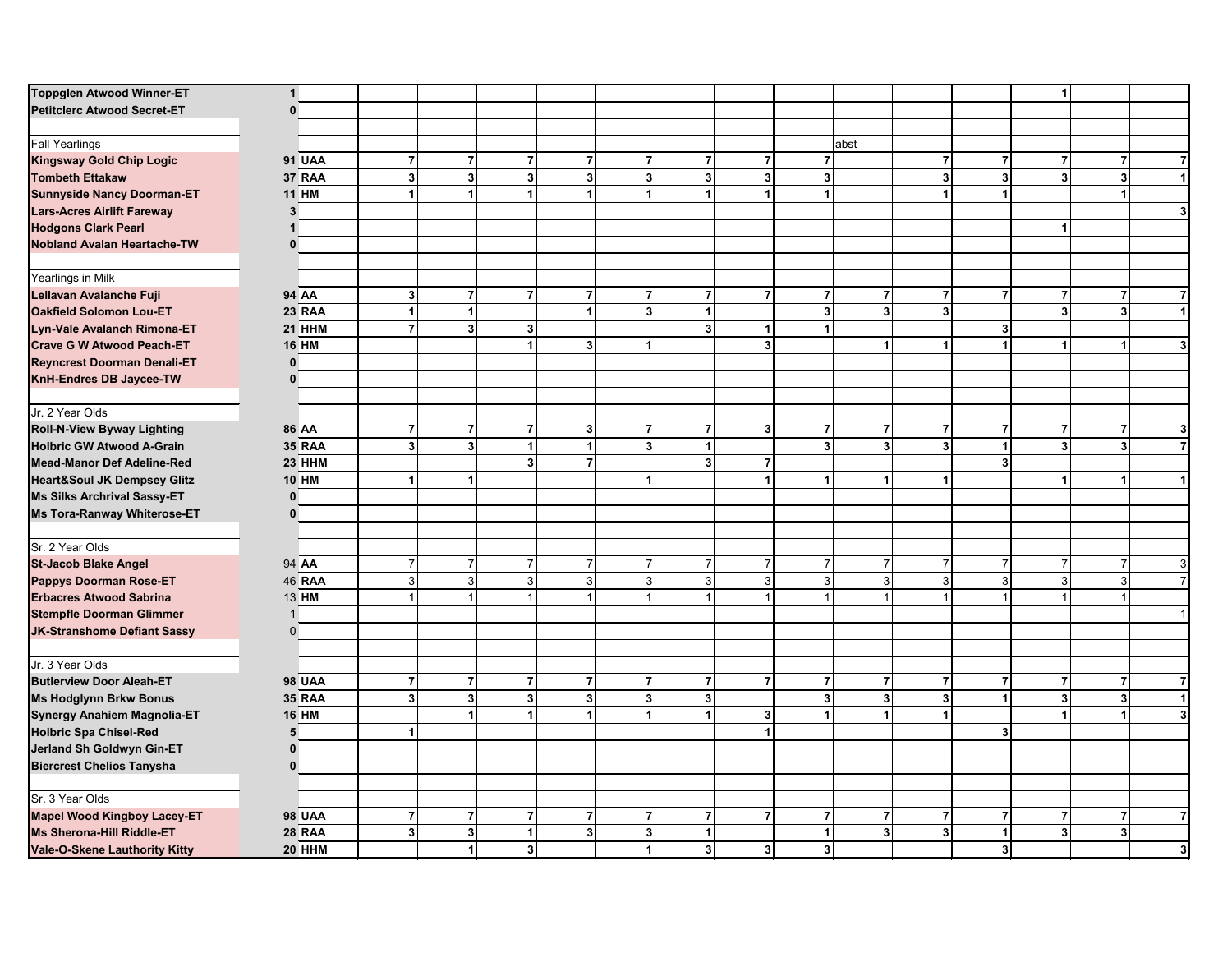| <b>Toppglen Atwood Winner-ET</b>       | $\mathbf{1}$  |                      |                           |                      |                         |                      |                      |                         |                         |                      |                         |                | 1                       |                      |                         |
|----------------------------------------|---------------|----------------------|---------------------------|----------------------|-------------------------|----------------------|----------------------|-------------------------|-------------------------|----------------------|-------------------------|----------------|-------------------------|----------------------|-------------------------|
| <b>Petitclerc Atwood Secret-ET</b>     | $\bf{0}$      |                      |                           |                      |                         |                      |                      |                         |                         |                      |                         |                |                         |                      |                         |
|                                        |               |                      |                           |                      |                         |                      |                      |                         |                         |                      |                         |                |                         |                      |                         |
| <b>Fall Yearlings</b>                  |               |                      |                           |                      |                         |                      |                      |                         |                         | abst                 |                         |                |                         |                      |                         |
| <b>Kingsway Gold Chip Logic</b>        | <b>91 UAA</b> | $\overline{7}$       | $\overline{7}$            | $\overline{7}$       | $\overline{7}$          | $\overline{7}$       | $\overline{7}$       | $\overline{7}$          | $\overline{7}$          |                      | $\overline{7}$          | $\overline{7}$ | $\overline{7}$          | $\overline{7}$       | $\overline{7}$          |
| <b>Tombeth Ettakaw</b>                 | 37 RAA        | 3                    | $\mathbf 3$               | $\mathbf{3}$         | $\mathbf{3}$            | $\mathbf{3}$         | 3                    | 3                       | $\overline{\mathbf{3}}$ |                      | $\overline{\mathbf{3}}$ | 3 <sup>1</sup> | 3                       | $\mathbf 3$          | $\mathbf{1}$            |
| <b>Sunnyside Nancy Doorman-ET</b>      | <b>11 HM</b>  | 1                    | $\mathbf{1}$              | $\blacktriangleleft$ | $\blacktriangleleft$    | 1                    | 1                    |                         | $\mathbf{1}$            |                      | $\blacktriangleleft$    | $\blacksquare$ |                         | $\blacktriangleleft$ |                         |
| <b>Lars-Acres Airlift Fareway</b>      | 3             |                      |                           |                      |                         |                      |                      |                         |                         |                      |                         |                |                         |                      | 3                       |
| <b>Hodgons Clark Pearl</b>             |               |                      |                           |                      |                         |                      |                      |                         |                         |                      |                         |                | -1                      |                      |                         |
| <b>Nobland Avalan Heartache-TW</b>     | 0             |                      |                           |                      |                         |                      |                      |                         |                         |                      |                         |                |                         |                      |                         |
| Yearlings in Milk                      |               |                      |                           |                      |                         |                      |                      |                         |                         |                      |                         |                |                         |                      |                         |
| Lellavan Avalanche Fuji                | 94 AA         | 3 <sup>1</sup>       | $\overline{7}$            | $\overline{7}$       | $\overline{7}$          | $\overline{7}$       | $\overline{7}$       | $\overline{7}$          | $\overline{7}$          | $\overline{7}$       | $\overline{7}$          | $\overline{7}$ | $\overline{7}$          | $\overline{7}$       | $\overline{7}$          |
| <b>Oakfield Solomon Lou-ET</b>         | 23 RAA        | 1                    | $\mathbf{1}$              |                      | $\vert$                 | 3                    | $\blacktriangleleft$ |                         | $\overline{\mathbf{3}}$ | 3 <sup>1</sup>       | 3 <sup>1</sup>          |                | 3                       | 3 <sup>1</sup>       | $\overline{1}$          |
| Lyn-Vale Avalanch Rimona-ET            | 21 HHM        | $\overline{7}$       | $\overline{\mathbf{3}}$   | 3                    |                         |                      | 3 <sup>1</sup>       | -1                      | 1                       |                      |                         | 3 <sup>1</sup> |                         |                      |                         |
| <b>Crave G W Atwood Peach-ET</b>       | <b>16 HM</b>  |                      |                           | 1                    | $\overline{\mathbf{3}}$ | $\blacktriangleleft$ |                      | $\overline{\mathbf{3}}$ |                         | $\mathbf{1}$         | $\blacktriangleleft$    | $\vert$        | 1                       | $\mathbf{1}$         | $\overline{\mathbf{3}}$ |
| <b>Reyncrest Doorman Denali-ET</b>     | $\mathbf{0}$  |                      |                           |                      |                         |                      |                      |                         |                         |                      |                         |                |                         |                      |                         |
| KnH-Endres DB Jaycee-TW                | $\bf{0}$      |                      |                           |                      |                         |                      |                      |                         |                         |                      |                         |                |                         |                      |                         |
| Jr. 2 Year Olds                        |               |                      |                           |                      |                         |                      |                      |                         |                         |                      |                         |                |                         |                      |                         |
| Roll-N-View Byway Lighting             | 86 AA         | $\overline{7}$       | $\overline{7}$            | $\overline{7}$       | $\mathbf{3}$            | $\overline{7}$       | $\overline{7}$       | 3                       | $\overline{7}$          | $\overline{7}$       | $\overline{7}$          | $\overline{7}$ | $\overline{7}$          | $\overline{7}$       | $\mathbf{3}$            |
| <b>Holbric GW Atwood A-Grain</b>       | <b>35 RAA</b> | 3                    | $\mathbf 3$               | $\overline{1}$       | $\mathbf{1}$            | $\mathbf{3}$         | $\blacktriangleleft$ |                         | $\overline{\mathbf{3}}$ | 3 <sup>1</sup>       | $\overline{\mathbf{3}}$ | 1              | $\overline{\mathbf{3}}$ | $\mathbf{3}$         | $\overline{7}$          |
| <b>Mead-Manor Def Adeline-Red</b>      | 23 HHM        |                      |                           | 3 <sup>1</sup>       | $\overline{7}$          |                      | $\overline{3}$       | $\overline{7}$          |                         |                      |                         | 3              |                         |                      |                         |
| <b>Heart&amp;Soul JK Dempsey Glitz</b> | <b>10 HM</b>  | $\blacktriangleleft$ | $\mathbf{1}$              |                      |                         | $\mathbf{1}$         |                      | $\overline{1}$          | $\mathbf{1}$            | $\mathbf{1}$         | $\blacktriangleleft$    |                | $\blacktriangleleft$    | $\blacktriangleleft$ | $\mathbf{1}$            |
| <b>Ms Silks Archrival Sassy-ET</b>     | $\bf{0}$      |                      |                           |                      |                         |                      |                      |                         |                         |                      |                         |                |                         |                      |                         |
| Ms Tora-Ranway Whiterose-ET            | $\mathbf{0}$  |                      |                           |                      |                         |                      |                      |                         |                         |                      |                         |                |                         |                      |                         |
| Sr. 2 Year Olds                        |               |                      |                           |                      |                         |                      |                      |                         |                         |                      |                         |                |                         |                      |                         |
| <b>St-Jacob Blake Angel</b>            | 94 AA         | $\overline{7}$       | $\boldsymbol{7}$          | $\overline{7}$       | $\overline{7}$          | $\overline{7}$       | $\overline{7}$       | $\overline{7}$          | $\overline{7}$          | $\overline{7}$       | $\overline{7}$          | 7 <sup>1</sup> | $\overline{7}$          | $\overline{7}$       | $\mathbf{3}$            |
| <b>Pappys Doorman Rose-ET</b>          | <b>46 RAA</b> | 3                    | $\ensuremath{\mathsf{3}}$ | $\overline{3}$       | $\mathbf{3}$            | ω                    | 3 <sup>1</sup>       | $\mathbf{3}$            | $\mathbf{3}$            | $\overline{3}$       | 3 <sup>1</sup>          | 3              | 3                       | $\sqrt{3}$           | $\overline{7}$          |
| <b>Erbacres Atwood Sabrina</b>         | 13 HM         | $\overline{1}$       | $\overline{1}$            | $\overline{1}$       | $\mathbf{1}$            | 1                    | $\mathbf{1}$         | $\overline{1}$          | $\mathbf{1}$            |                      | $\mathbf{1}$            |                |                         | $\overline{1}$       |                         |
| <b>Stempfle Doorman Glimmer</b>        | $\mathbf{1}$  |                      |                           |                      |                         |                      |                      |                         |                         |                      |                         |                |                         |                      | $\mathbf{1}$            |
| <b>JK-Stranshome Defiant Sassy</b>     | $\Omega$      |                      |                           |                      |                         |                      |                      |                         |                         |                      |                         |                |                         |                      |                         |
| Jr. 3 Year Olds                        |               |                      |                           |                      |                         |                      |                      |                         |                         |                      |                         |                |                         |                      |                         |
| <b>Butlerview Door Aleah-ET</b>        | <b>98 UAA</b> | $\overline{7}$       | $\bf 7$                   | $\overline{7}$       | $\overline{7}$          | $\overline{7}$       | $\overline{7}$       | $\overline{7}$          | $\overline{7}$          | $\overline{7}$       | $\overline{7}$          | $\overline{7}$ | $\overline{7}$          | $\bf 7$              | $\overline{7}$          |
| <b>Ms Hodglynn Brkw Bonus</b>          | <b>35 RAA</b> | $\mathbf{3}$         | $\mathbf 3$               | $\vert$ 3            | $\overline{\mathbf{3}}$ | $\mathbf{3}$         | 3 <sup>1</sup>       |                         | $\overline{\mathbf{3}}$ | 3 <sup>1</sup>       | $\overline{\mathbf{3}}$ | $\mathbf{1}$   | $\mathbf{3}$            | $\mathbf{3}$         | $\vert$ 1               |
| Synergy Anahiem Magnolia-ET            | <b>16 HM</b>  |                      | $\blacktriangleleft$      |                      | $\blacktriangleleft$    | 1                    |                      | 3                       | 1                       | $\blacktriangleleft$ | $\blacktriangleleft$    |                |                         | $\mathbf{1}$         | $\overline{\mathbf{3}}$ |
| <b>Holbric Spa Chisel-Red</b>          | 5             | 1                    |                           |                      |                         |                      |                      |                         |                         |                      |                         | 3 <sup>1</sup> |                         |                      |                         |
| Jerland Sh Goldwyn Gin-ET              | $\Omega$      |                      |                           |                      |                         |                      |                      |                         |                         |                      |                         |                |                         |                      |                         |
| <b>Biercrest Chelios Tanysha</b>       | $\bf{0}$      |                      |                           |                      |                         |                      |                      |                         |                         |                      |                         |                |                         |                      |                         |
| Sr. 3 Year Olds                        |               |                      |                           |                      |                         |                      |                      |                         |                         |                      |                         |                |                         |                      |                         |
| <b>Mapel Wood Kingboy Lacey-ET</b>     | <b>98 UAA</b> | $\overline{7}$       | $\overline{7}$            | $\overline{7}$       | $\overline{7}$          | $\overline{7}$       | $\overline{7}$       | $\overline{7}$          | $\overline{7}$          | $\overline{7}$       | $\overline{7}$          | $\overline{7}$ | $\overline{7}$          | $\overline{7}$       | $\overline{7}$          |
| <b>Ms Sherona-Hill Riddle-ET</b>       | <b>28 RAA</b> | 3 <sup>1</sup>       | $\mathbf 3$               | $\overline{1}$       | $\mathbf{3}$            | $\mathbf{3}$         | $\mathbf{1}$         |                         | $\mathbf{1}$            | 3 <sup>1</sup>       | $\overline{\mathbf{3}}$ | $\mathbf{1}$   | 3 <sup>1</sup>          | 3 <sup>1</sup>       |                         |
| <b>Vale-O-Skene Lauthority Kitty</b>   | 20 HHM        |                      | $\mathbf{1}$              | $\mathbf{3}$         |                         | $\mathbf{1}$         | 3 <sup>1</sup>       | 3 <sup>1</sup>          | 3 <sup>1</sup>          |                      |                         | 3 <sup>1</sup> |                         |                      | $\overline{\mathbf{3}}$ |